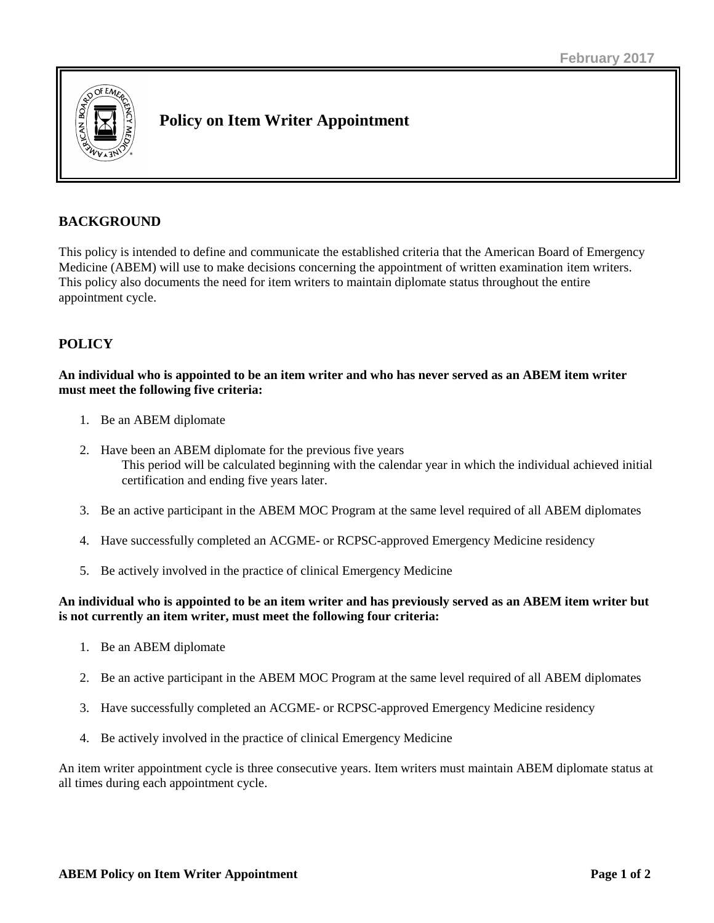

# **Policy on Item Writer Appointment**

## **BACKGROUND**

This policy is intended to define and communicate the established criteria that the American Board of Emergency Medicine (ABEM) will use to make decisions concerning the appointment of written examination item writers. This policy also documents the need for item writers to maintain diplomate status throughout the entire appointment cycle.

## **POLICY**

**An individual who is appointed to be an item writer and who has never served as an ABEM item writer must meet the following five criteria:**

- 1. Be an ABEM diplomate
- 2. Have been an ABEM diplomate for the previous five years This period will be calculated beginning with the calendar year in which the individual achieved initial certification and ending five years later.
- 3. Be an active participant in the ABEM MOC Program at the same level required of all ABEM diplomates
- 4. Have successfully completed an ACGME- or RCPSC-approved Emergency Medicine residency
- 5. Be actively involved in the practice of clinical Emergency Medicine

#### **An individual who is appointed to be an item writer and has previously served as an ABEM item writer but is not currently an item writer, must meet the following four criteria:**

- 1. Be an ABEM diplomate
- 2. Be an active participant in the ABEM MOC Program at the same level required of all ABEM diplomates
- 3. Have successfully completed an ACGME- or RCPSC-approved Emergency Medicine residency
- 4. Be actively involved in the practice of clinical Emergency Medicine

An item writer appointment cycle is three consecutive years. Item writers must maintain ABEM diplomate status at all times during each appointment cycle.